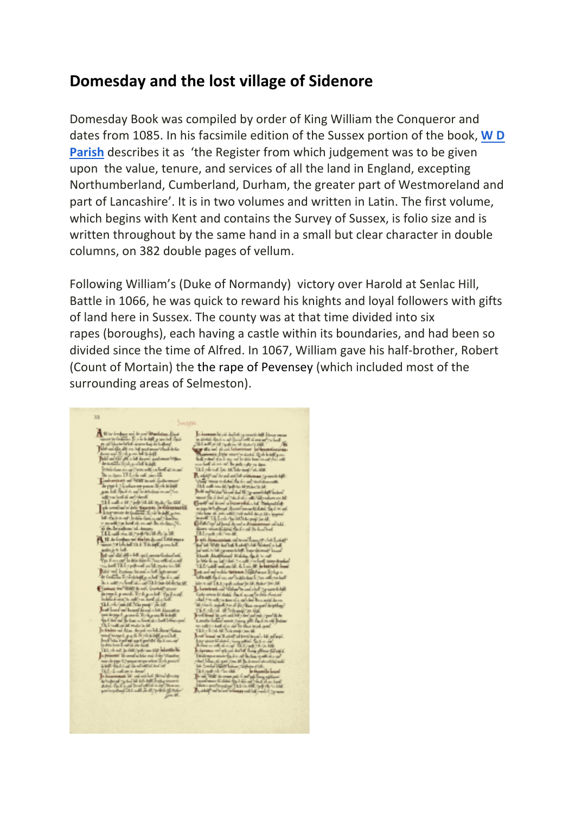## **Domesday and the lost village of Sidenore**

Domesday Book was compiled by order of King William the Conqueror and dates from 1085. In his facsimile edition of the Sussex portion of the book, **W D Parish** describes it as 'the Register from which judgement was to be given upon the value, tenure, and services of all the land in England, excepting Northumberland, Cumberland, Durham, the greater part of Westmoreland and part of Lancashire'. It is in two volumes and written in Latin. The first volume, which begins with Kent and contains the Survey of Sussex, is folio size and is written throughout by the same hand in a small but clear character in double columns, on 382 double pages of vellum.

Following William's (Duke of Normandy) victory over Harold at Senlac Hill, Battle in 1066, he was quick to reward his knights and loyal followers with gifts of land here in Sussex. The county was at that time divided into six rapes (boroughs), each having a castle within its boundaries, and had been so divided since the time of Alfred. In 1067, William gave his half-brother, Robert (Count of Mortain) the the rape of Pevensey (which included most of the surrounding areas of Selmeston).

 $33$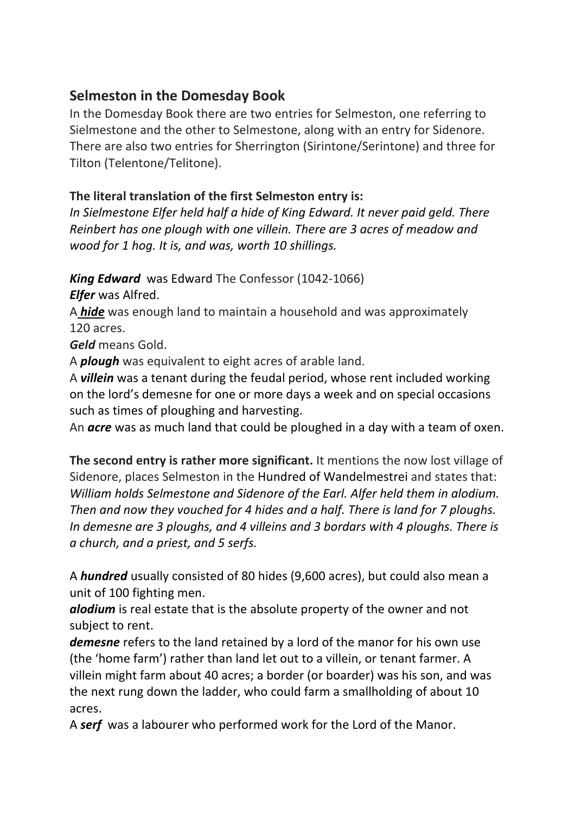## **Selmeston in the Domesday Book**

In the Domesday Book there are two entries for Selmeston, one referring to Sielmestone and the other to Selmestone, along with an entry for Sidenore. There are also two entries for Sherrington (Sirintone/Serintone) and three for Tilton (Telentone/Telitone).

## **The literal translation of the first Selmeston entry is:**

*In Sielmestone Elfer held half a hide of King Edward. It never paid geld. There Reinbert has one plough with one villein. There are 3 acres of meadow and wood for 1 hog. It is, and was, worth 10 shillings.*

*King Edward* was Edward The Confessor (1042-1066)

*Elfer* was Alfred.

A *hide* was enough land to maintain a household and was approximately 120 acres.

*Geld* means Gold.

A *plough* was equivalent to eight acres of arable land.

A *villein* was a tenant during the feudal period, whose rent included working on the lord's demesne for one or more days a week and on special occasions such as times of ploughing and harvesting.

An *acre* was as much land that could be ploughed in a day with a team of oxen.

**The second entry is rather more significant.** It mentions the now lost village of Sidenore, places Selmeston in the Hundred of Wandelmestrei and states that: *William holds Selmestone and Sidenore of the Earl. Alfer held them in alodium. Then and now they vouched for 4 hides and a half. There is land for 7 ploughs. In demesne are 3 ploughs, and 4 villeins and 3 bordars with 4 ploughs. There is a church, and a priest, and 5 serfs.*

A *hundred* usually consisted of 80 hides (9,600 acres), but could also mean a unit of 100 fighting men.

*alodium* is real estate that is the absolute property of the owner and not subject to rent.

*demesne* refers to the land retained by a lord of the manor for his own use (the 'home farm') rather than land let out to a villein, or tenant farmer. A villein might farm about 40 acres; a border (or boarder) was his son, and was the next rung down the ladder, who could farm a smallholding of about 10 acres.

A *serf* was a labourer who performed work for the Lord of the Manor.